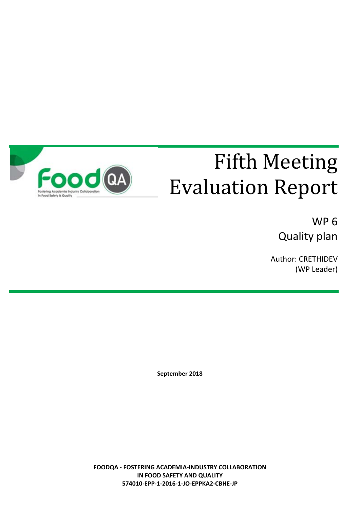

# Fifth Meeting Evaluation Report

WP 6 Quality plan

Author: CRETHIDEV (WP Leader)

**September 2018**

**FOODQA - FOSTERING ACADEMIA-INDUSTRY COLLABORATION IN FOOD SAFETY AND QUALITY 574010-EPP-1-2016-1-JO-EPPKA2-CBHE-JP**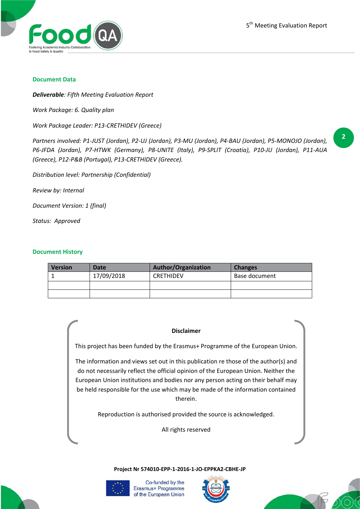

#### **Document Data**

*Deliverable: Fifth Meeting Evaluation Report*

*Work Package: 6. Quality plan*

*Work Package Leader: P13-CRETHIDEV (Greece)*

*Partners involved: P1-JUST (Jordan), P2-UJ (Jordan), P3-MU (Jordan), P4-BAU (Jordan), P5-MONOJO (Jordan), P6-JFDA (Jordan), P7-HTWK (Germany), P8-UNITE (Italy), P9-SPLIT (Croatia), P10-JU (Jordan), P11-AUA (Greece), P12-P&B (Portugal), P13-CRETHIDEV (Greece).*

*Distribution level: Partnership (Confidential)*

*Review by: Internal*

*Document Version: 1 (final)*

*Status: Approved*

#### **Document History**

| <b>Version</b> | Date       | <b>Author/Organization</b> | <b>Changes</b> |
|----------------|------------|----------------------------|----------------|
|                | 17/09/2018 | <b>CRETHIDEV</b>           | Base document  |
|                |            |                            |                |
|                |            |                            |                |

#### **Disclaimer**

This project has been funded by the Erasmus+ Programme of the European Union.

The information and views set out in this publication re those of the author(s) and do not necessarily reflect the official opinion of the European Union. Neither the European Union institutions and bodies nor any person acting on their behalf may be held responsible for the use which may be made of the information contained therein.

Reproduction is authorised provided the source is acknowledged.

All rights reserved

**Project Nr 574010-EPP-1-2016-1-JO-EPPKA2-CBHE-JP**



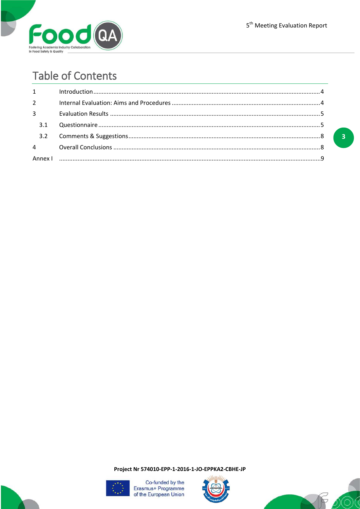

# **Table of Contents**

| $1 \quad \blacksquare$ | $In traditional, 10011, 1011, 1011, 1011, 1011, 1011, 1011, 1011, 1011, 1011, 1011, 1011, 1011, 1011, 1011, 1011, 1011, 1011, 1011, 1011, 1011, 1011, 1011, 1011, 1011, 1011, 1011, 1011, 1011, 1011, 1011, 1011, 1011, 1011, 1011, 1011,$ |  |
|------------------------|--------------------------------------------------------------------------------------------------------------------------------------------------------------------------------------------------------------------------------------------|--|
| $2^{\sim}$             |                                                                                                                                                                                                                                            |  |
| $3^{\circ}$            |                                                                                                                                                                                                                                            |  |
| 3.1                    |                                                                                                                                                                                                                                            |  |
|                        |                                                                                                                                                                                                                                            |  |
|                        |                                                                                                                                                                                                                                            |  |
|                        |                                                                                                                                                                                                                                            |  |

 $\overline{\mathbf{3}}$ 

Project Nr 574010-EPP-1-2016-1-JO-EPPKA2-CBHE-JP





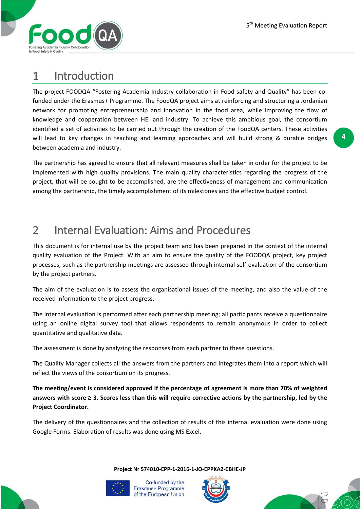

## 1 Introduction

The project FOODQA "Fostering Academia Industry collaboration in Food safety and Quality" has been cofunded under the Erasmus+ Programme. The FoodQA project aims at reinforcing and structuring a Jordanian network for promoting entrepreneurship and innovation in the food area, while improving the flow of knowledge and cooperation between HEI and industry. To achieve this ambitious goal, the consortium identified a set of activities to be carried out through the creation of the FoodQA centers. These activities will lead to key changes in teaching and learning approaches and will build strong & durable bridges between academia and industry.

The partnership has agreed to ensure that all relevant measures shall be taken in order for the project to be implemented with high quality provisions. The main quality characteristics regarding the progress of the project, that will be sought to be accomplished, are the effectiveness of management and communication among the partnership, the timely accomplishment of its milestones and the effective budget control.

## 2 Internal Evaluation: Aims and Procedures

This document is for internal use by the project team and has been prepared in the context of the internal quality evaluation of the Project. With an aim to ensure the quality of the FOODQA project, key project processes, such as the partnership meetings are assessed through internal self-evaluation of the consortium by the project partners.

The aim of the evaluation is to assess the organisational issues of the meeting, and also the value of the received information to the project progress.

The internal evaluation is performed after each partnership meeting; all participants receive a questionnaire using an online digital survey tool that allows respondents to remain anonymous in order to collect quantitative and qualitative data.

The assessment is done by analyzing the responses from each partner to these questions.

The Quality Manager collects all the answers from the partners and integrates them into a report which will reflect the views of the consortium on its progress.

**The meeting/event is considered approved if the percentage of agreement is more than 70% of weighted answers with score ≥ 3. Scores less than this will require corrective actions by the partnership, led by the Project Coordinator.**

The delivery of the questionnaires and the collection of results of this internal evaluation were done using Google Forms. Elaboration of results was done using MS Excel.

**Project Nr 574010-EPP-1-2016-1-JO-EPPKA2-CBHE-JP**





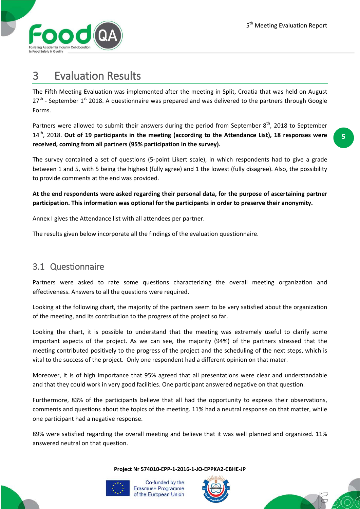**5**



### 3 Evaluation Results

The Fifth Meeting Evaluation was implemented after the meeting in Split, Croatia that was held on August  $27<sup>th</sup>$  - September 1<sup>st</sup> 2018. A questionnaire was prepared and was delivered to the partners through Google Forms.

Partners were allowed to submit their answers during the period from September  $8<sup>th</sup>$ , 2018 to September 14th, 2018. **Out of 19 participants in the meeting (according to the Attendance List), 18 responses were received, coming from all partners (95% participation in the survey).**

The survey contained a set of questions (5-point Likert scale), in which respondents had to give a grade between 1 and 5, with 5 being the highest (fully agree) and 1 the lowest (fully disagree). Also, the possibility to provide comments at the end was provided.

**At the end respondents were asked regarding their personal data, for the purpose of ascertaining partner participation. This information was optional for the participants in order to preserve their anonymity.**

Annex I gives the Attendance list with all attendees per partner.

The results given below incorporate all the findings of the evaluation questionnaire.

#### 3.1 Questionnaire

Partners were asked to rate some questions characterizing the overall meeting organization and effectiveness. Answers to all the questions were required.

Looking at the following chart, the majority of the partners seem to be very satisfied about the organization of the meeting, and its contribution to the progress of the project so far.

Looking the chart, it is possible to understand that the meeting was extremely useful to clarify some important aspects of the project. As we can see, the majority (94%) of the partners stressed that the meeting contributed positively to the progress of the project and the scheduling of the next steps, which is vital to the success of the project. Only one respondent had a different opinion on that mater.

Moreover, it is of high importance that 95% agreed that all presentations were clear and understandable and that they could work in very good facilities. One participant answered negative on that question.

Furthermore, 83% of the participants believe that all had the opportunity to express their observations, comments and questions about the topics of the meeting. 11% had a neutral response on that matter, while one participant had a negative response.

89% were satisfied regarding the overall meeting and believe that it was well planned and organized. 11% answered neutral on that question.

**Project Nr 574010-EPP-1-2016-1-JO-EPPKA2-CBHE-JP**





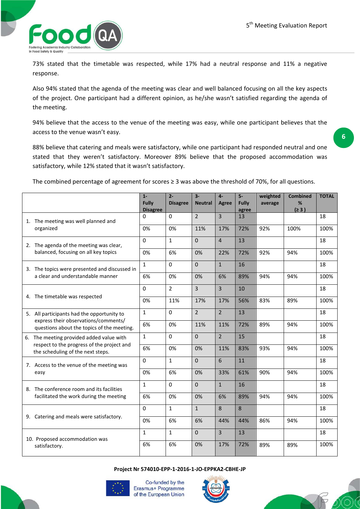

73% stated that the timetable was respected, while 17% had a neutral response and 11% a negative response.

Also 94% stated that the agenda of the meeting was clear and well balanced focusing on all the key aspects of the project. One participant had a different opinion, as he/she wasn't satisfied regarding the agenda of the meeting.

94% believe that the access to the venue of the meeting was easy, while one participant believes that the access to the venue wasn't easy.

88% believe that catering and meals were satisfactory, while one participant had responded neutral and one stated that they weren't satisfactory. Moreover 89% believe that the proposed accommodation was satisfactory, while 12% stated that it wasn't satisfactory.

The combined percentage of agreement for scores ≥ 3 was above the threshold of 70%, for all questions.

|                                                                                                                                  | $1 -$<br><b>Fully</b><br><b>Disagree</b> | $2 -$<br><b>Disagree</b> | $3-$<br><b>Neutral</b> | $4-$<br>Agree  | $5-$<br>Fully<br>agree | weighted<br>average | <b>Combined</b><br>%<br>(≥ 3) | <b>TOTAL</b> |
|----------------------------------------------------------------------------------------------------------------------------------|------------------------------------------|--------------------------|------------------------|----------------|------------------------|---------------------|-------------------------------|--------------|
| 1. The meeting was well planned and<br>organized                                                                                 | 0                                        | 0                        | $\overline{2}$         | $\overline{3}$ | 13                     |                     |                               | 18           |
|                                                                                                                                  | 0%                                       | 0%                       | 11%                    | 17%            | 72%                    | 92%                 | 100%                          | 100%         |
| 2. The agenda of the meeting was clear,<br>balanced, focusing on all key topics                                                  | $\Omega$                                 | $\mathbf{1}$             | $\Omega$               | $\overline{4}$ | 13                     |                     |                               | 18           |
|                                                                                                                                  | 0%                                       | 6%                       | 0%                     | 22%            | 72%                    | 92%                 | 94%                           | 100%         |
| 3. The topics were presented and discussed in<br>a clear and understandable manner                                               | $\mathbf{1}$                             | $\Omega$                 | $\Omega$               | $\mathbf{1}$   | 16                     |                     |                               | 18           |
|                                                                                                                                  | 6%                                       | 0%                       | 0%                     | 6%             | 89%                    | 94%                 | 94%                           | 100%         |
| 4. The timetable was respected                                                                                                   | 0                                        | $\overline{2}$           | 3                      | $\overline{3}$ | 10                     |                     |                               | 18           |
|                                                                                                                                  | 0%                                       | 11%                      | 17%                    | 17%            | 56%                    | 83%                 | 89%                           | 100%         |
| 5. All participants had the opportunity to<br>express their observations/comments/<br>questions about the topics of the meeting. | $\mathbf{1}$                             | 0                        | $\overline{2}$         | $\overline{2}$ | 13                     |                     |                               | 18           |
|                                                                                                                                  | 6%                                       | 0%                       | 11%                    | 11%            | 72%                    | 89%                 | 94%                           | 100%         |
| 6. The meeting provided added value with<br>respect to the progress of the project and<br>the scheduling of the next steps.      | $\mathbf{1}$                             | $\Omega$                 | $\mathbf 0$            | $\overline{2}$ | 15                     |                     |                               | 18           |
|                                                                                                                                  | 6%                                       | 0%                       | 0%                     | 11%            | 83%                    | 93%                 | 94%                           | 100%         |
| 7. Access to the venue of the meeting was<br>easy                                                                                | $\mathbf 0$                              | $\mathbf{1}$             | $\mathbf{0}$           | $6\phantom{1}$ | 11                     |                     |                               | 18           |
|                                                                                                                                  | 0%                                       | 6%                       | 0%                     | 33%            | 61%                    | 90%                 | 94%                           | 100%         |
| 8. The conference room and its facilities<br>facilitated the work during the meeting                                             | $\mathbf{1}$                             | $\Omega$                 | $\Omega$               | $\mathbf{1}$   | 16                     |                     |                               | 18           |
|                                                                                                                                  | 6%                                       | 0%                       | 0%                     | 6%             | 89%                    | 94%                 | 94%                           | 100%         |
| 9. Catering and meals were satisfactory.                                                                                         | $\Omega$                                 | $\mathbf{1}$             | $\mathbf{1}$           | 8              | 8                      |                     |                               | 18           |
|                                                                                                                                  | 0%                                       | 6%                       | 6%                     | 44%            | 44%                    | 86%                 | 94%                           | 100%         |
| 10. Proposed accommodation was                                                                                                   | $\mathbf{1}$                             | $\mathbf{1}$             | $\mathbf 0$            | $\overline{3}$ | 13                     |                     |                               | 18           |
| satisfactory.                                                                                                                    | 6%                                       | 6%                       | 0%                     | 17%            | 72%                    | 89%                 | 89%                           | 100%         |

**Project Nr 574010-EPP-1-2016-1-JO-EPPKA2-CBHE-JP**



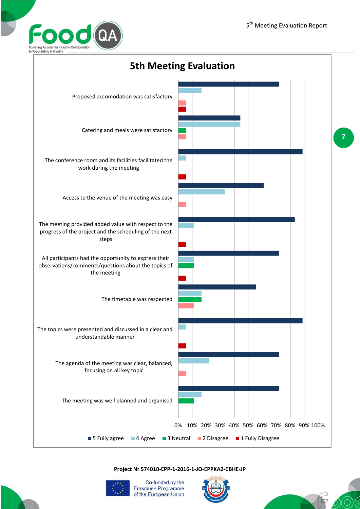



**Project Nr 574010-EPP-1-2016-1-JO-EPPKA2-CBHE-JP**





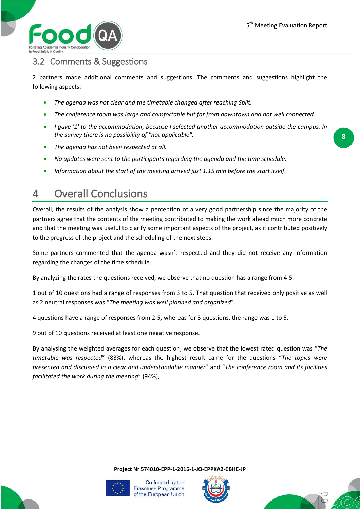

#### 3.2 Comments & Suggestions

2 partners made additional comments and suggestions. The comments and suggestions highlight the following aspects:

- *The agenda was not clear and the timetable changed after reaching Split.*
- *The conference room was large and comfortable but far from downtown and not well connected.*
- *I gave '1' to the accommodation, because I selected another accommodation outside the campus. In the survey there is no possibility of "not applicable".*
- *The agenda has not been respected at all.*
- *No updates were sent to the participants regarding the agenda and the time schedule.*
- *Information about the start of the meeting arrived just 1.15 min before the start itself.*

### 4 Overall Conclusions

Overall, the results of the analysis show a perception of a very good partnership since the majority of the partners agree that the contents of the meeting contributed to making the work ahead much more concrete and that the meeting was useful to clarify some important aspects of the project, as it contributed positively to the progress of the project and the scheduling of the next steps.

Some partners commented that the agenda wasn't respected and they did not receive any information regarding the changes of the time schedule.

By analyzing the rates the questions received, we observe that no question has a range from 4-5.

1 out of 10 questions had a range of responses from 3 to 5. That question that received only positive as well as 2 neutral responses was "*The meeting was well planned and organized*".

4 questions have a range of responses from 2-5, whereas for 5 questions, the range was 1 to 5.

9 out of 10 questions received at least one negative response.

By analysing the weighted averages for each question, we observe that the lowest rated question was "*The timetable was respected*" (83%). whereas the highest result came for the questions "*The topics were presented and discussed in a clear and understandable manner*" and "*The conference room and its facilities facilitated the work during the meeting*" (94%),

**Project Nr 574010-EPP-1-2016-1-JO-EPPKA2-CBHE-JP**